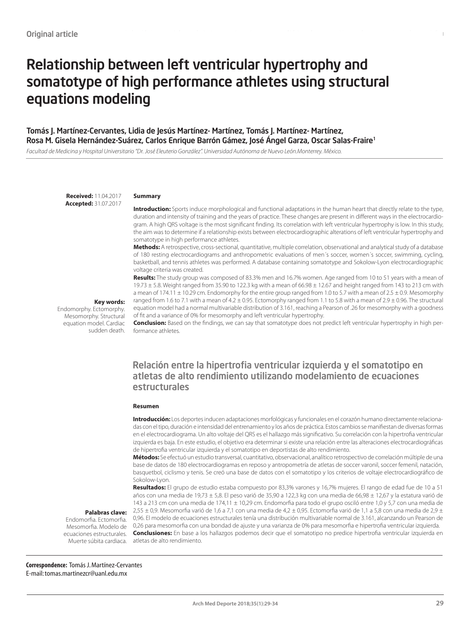# Relationship between left ventricular hypertrophy and somatotype of high performance athletes using structural equations modeling

#### Tomás J. Martínez-Cervantes, Lidia de Jesús Martínez- Martínez, Tomás J. Martínez- Martínez, Rosa M. Gisela Hernández-Suárez, Carlos Enrique Barrón Gámez, José Ángel Garza, Oscar Salas-Fraire1

*Facultad de Medicina y Hospital Universitario "Dr. José Eleuterio González". Universidad Autónoma de Nuevo León.Monterrey. México.*

**Received:** 11.04.2017 **Accepted:** 31.07.2017

#### **Summary**

**Introduction:** Sports induce morphological and functional adaptations in the human heart that directly relate to the type, duration and intensity of training and the years of practice. These changes are present in different ways in the electrocardiogram. A high QRS voltage is the most significant finding. Its correlation with left ventricular hypertrophy is low. In this study, the aim was to determine if a relationship exists between electrocardiographic alterations of left ventricular hypertrophy and somatotype in high performance athletes.

Relationship between left ventricular hypertrophy and somatotype of high performance athletes using structural equations modeling

**Methods:** A retrospective, cross-sectional, quantitative, multiple correlation, observational and analytical study of a database of 180 resting electrocardiograms and anthropometric evaluations of men´s soccer, women´s soccer, swimming, cycling, basketball, and tennis athletes was performed. A database containing somatotype and Sokolow-Lyon electrocardiographic voltage criteria was created.

**Results:** The study group was composed of 83.3% men and 16.7% women. Age ranged from 10 to 51 years with a mean of 19.73 ± 5.8. Weight ranged from 35.90 to 122.3 kg with a mean of 66.98 ± 12.67 and height ranged from 143 to 213 cm with a mean of 174.11 ± 10.29 cm. Endomorphy for the entire group ranged from 1.0 to 5.7 with a mean of 2.5 ± 0.9. Mesomorphy ranged from 1.6 to 7.1 with a mean of  $4.2 \pm 0.95$ . Ectomorphy ranged from 1.1 to 5.8 with a mean of  $2.9 \pm 0.96$ . The structural equation model had a normal multivariable distribution of 3.161, reaching a Pearson of .26 for mesomorphy with a goodness of fit and a variance of 0% for mesomorphy and left ventricular hypertrophy.

**Key words:** 

Endomorphy. Ectomorphy. Mesomorphy. Structural equation model. Cardiac sudden death.

**Conclusion:** Based on the findings, we can say that somatotype does not predict left ventricular hypertrophy in high performance athletes.

### Relación entre la hipertrofia ventricular izquierda y el somatotipo en atletas de alto rendimiento utilizando modelamiento de ecuaciones estructurales

#### **Resumen**

**Introducción:** Los deportes inducen adaptaciones morfológicas y funcionales en el corazón humano directamente relacionadas con el tipo, duración e intensidad del entrenamiento y los años de práctica. Estos cambios se manifiestan de diversas formas en el electrocardiograma. Un alto voltaje del QRS es el hallazgo más significativo. Su correlación con la hipertrofia ventricular izquierda es baja. En este estudio, el objetivo era determinar si existe una relación entre las alteraciones electrocardiográficas de hipertrofia ventricular izquierda y el somatotipo en deportistas de alto rendimiento.

**Métodos:** Se efectuó un estudio transversal, cuantitativo, observacional, analítico retrospectivo de correlación múltiple de una base de datos de 180 electrocardiogramas en reposo y antropometría de atletas de soccer varonil, soccer femenil, natación, basquetbol, ciclismo y tenis. Se creó una base de datos con el somatotipo y los criterios de voltaje electrocardiográfico de Sokolow-Lyon.

**Resultados:** El grupo de estudio estaba compuesto por 83,3% varones y 16,7% mujeres. El rango de edad fue de 10 a 51 años con una media de 19,73  $\pm$  5,8. El peso varió de 35,90 a 122,3 kg con una media de 66,98  $\pm$  12,67 y la estatura varió de 143 a 213 cm con una media de 174,11 ± 10,29 cm. Endomorfia para todo el grupo osciló entre 1,0 y 5,7 con una media de  $2,55 \pm 0.9$ . Mesomorfia varió de 1,6 a 7,1 con una media de 4,2  $\pm$  0,95. Ectomorfia varió de 1,1 a 5,8 con una media de 2,9  $\pm$ 0,96. El modelo de ecuaciones estructurales tenía una distribución multivariable normal de 3.161, alcanzando un Pearson de 0,26 para mesomorfia con una bondad de ajuste y una varianza de 0% para mesomorfia e hipertrofia ventricular izquierda. **Conclusiones:** En base a los hallazgos podemos decir que el somatotipo no predice hipertrofia ventricular izquierda en

#### **Palabras clave:**

Muerte súbita cardiaca. atletas de alto rendimiento. Endomorfia. Ectomorfia. Mesomorfia. Modelo de ecuaciones estructurales.

**Correspondence:** Tomás J. Martínez-Cervantes E-mail: tomas.martinezcr@uanl.edu.mx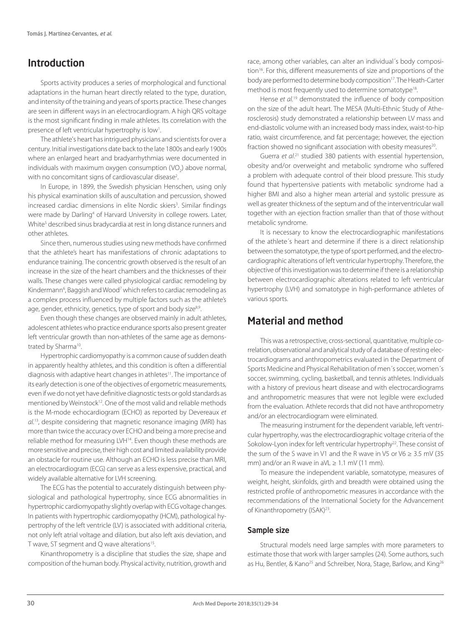# Introduction

Sports activity produces a series of morphological and functional adaptations in the human heart directly related to the type, duration, and intensity of the training and years of sports practice. These changes are seen in different ways in an electrocardiogram. A high QRS voltage is the most significant finding in male athletes. Its correlation with the presence of left ventricular hypertrophy is low<sup>1</sup>. .

The athlete's heart has intrigued physicians and scientists for over a century. Initial investigations date back to the late 1800s and early 1900s where an enlarged heart and bradyarrhythmias were documented in individuals with maximum oxygen consumption (VO<sub>2</sub>) above normal, with no concomitant signs of cardiovascular disease<sup>2</sup>. .

In Europe, in 1899, the Swedish physician Henschen, using only his physical examination skills of auscultation and percussion, showed increased cardiac dimensions in elite Nordic skiers<sup>3</sup>. Similar findings were made by Darling<sup>4</sup> of Harvard University in college rowers. Later, White<sup>5</sup> described sinus bradycardia at rest in long distance runners and other athletes.

Since then, numerous studies using new methods have confirmed that the athlete's heart has manifestations of chronic adaptations to endurance training. The concentric growth observed is the result of an increase in the size of the heart chambers and the thicknesses of their walls. These changes were called physiological cardiac remodeling by Kindermann<sup>6</sup>, Baggish and Wood<sup>7</sup> which refers to cardiac remodeling as a complex process influenced by multiple factors such as the athlete's age, gender, ethnicity, genetics, type of sport and body size<sup>8,9</sup>.

Even though these changes are observed mainly in adult athletes, adolescent athletes who practice endurance sports also present greater left ventricular growth than non-athletes of the same age as demonstrated by Sharma<sup>10</sup>.

Hypertrophic cardiomyopathy is a common cause of sudden death in apparently healthy athletes, and this condition is often a differential diagnosis with adaptive heart changes in athletes<sup>11</sup>. The importance of its early detection is one of the objectives of ergometric measurements, even if we do not yet have definitive diagnostic tests or gold standards as mentioned by Weinstock<sup>12</sup>. One of the most valid and reliable methods is the M-mode echocardiogram (ECHO) as reported by Devereaux *et al.*13, despite considering that magnetic resonance imaging (MRI) has more than twice the accuracy over ECHO and being a more precise and reliable method for measuring LVH<sup>14</sup>. Even though these methods are more sensitive and precise, their high cost and limited availability provide an obstacle for routine use. Although an ECHO is less precise than MRI, an electrocardiogram (ECG) can serve as a less expensive, practical, and widely available alternative for LVH screening.

The ECG has the potential to accurately distinguish between physiological and pathological hypertrophy, since ECG abnormalities in hypertrophic cardiomyopathy slightly overlap with ECG voltage changes. In patients with hypertrophic cardiomyopathy (HCM), pathological hypertrophy of the left ventricle (LV) is associated with additional criteria, not only left atrial voltage and dilation, but also left axis deviation, and T wave, ST segment and Q wave alterations<sup>15</sup>.

Kinanthropometry is a discipline that studies the size, shape and composition of the human body. Physical activity, nutrition, growth and

race, among other variables, can alter an individual´s body composition<sup>16</sup>. For this, different measurements of size and proportions of the body are performed to determine body composition<sup>17</sup>. The Heath-Carter method is most frequently used to determine somatotype<sup>18</sup>.

Hense *et al.*19 demonstrated the influence of body composition on the size of the adult heart. The MESA (Multi-Ethnic Study of Atherosclerosis) study demonstrated a relationship between LV mass and end-diastolic volume with an increased body mass index, waist-to-hip ratio, waist circumference, and fat percentage; however, the ejection fraction showed no significant association with obesity measures<sup>20</sup>.

Guerra et al.<sup>21</sup> studied 380 patients with essential hypertension, obesity and/or overweight and metabolic syndrome who suffered a problem with adequate control of their blood pressure. This study found that hypertensive patients with metabolic syndrome had a higher BMI and also a higher mean arterial and systolic pressure as well as greater thickness of the septum and of the interventricular wall together with an ejection fraction smaller than that of those without metabolic syndrome.

It is necessary to know the electrocardiographic manifestations of the athlete´s heart and determine if there is a direct relationship between the somatotype, the type of sport performed, and the electrocardiographic alterations of left ventricular hypertrophy. Therefore, the objective of this investigation was to determine if there is a relationship between electrocardiographic alterations related to left ventricular hypertrophy (LVH) and somatotype in high-performance athletes of various sports.

# Material and method

This was a retrospective, cross-sectional, quantitative, multiple correlation, observational and analytical study of a database of resting electrocardiograms and anthropometrics evaluated in the Department of Sports Medicine and Physical Rehabilitation of men´s soccer, women´s soccer, swimming, cycling, basketball, and tennis athletes. Individuals with a history of previous heart disease and with electrocardiograms and anthropometric measures that were not legible were excluded from the evaluation. Athlete records that did not have anthropometry and/or an electrocardiogram were eliminated.

The measuring instrument for the dependent variable, left ventricular hypertrophy, was the electrocardiographic voltage criteria of the Sokolow-Lyon index for left ventricular hypertrophy<sup>22</sup>. These consist of the sum of the S wave in V1 and the R wave in V5 or V6  $\geq$  3.5 mV (35 mm) and/or an R wave in aVL  $\geq 1.1$  mV (11 mm).

To measure the independent variable, somatotype, measures of weight, height, skinfolds, girth and breadth were obtained using the restricted profile of anthropometric measures in accordance with the recommendations of the International Society for the Advancement of Kinanthropometry (ISAK)<sup>23</sup>.

#### Sample size

Structural models need large samples with more parameters to estimate those that work with larger samples (24). Some authors, such as Hu, Bentler, & Kano<sup>25</sup> and Schreiber, Nora, Stage, Barlow, and King<sup>26</sup>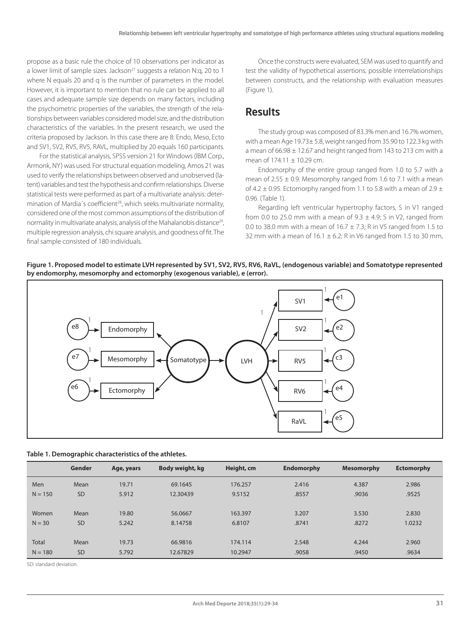propose as a basic rule the choice of 10 observations per indicator as a lower limit of sample sizes. Jackson<sup>27</sup> suggests a relation N:g, 20 to 1 where N equals 20 and q is the number of parameters in the model. However, it is important to mention that no rule can be applied to all cases and adequate sample size depends on many factors, including the psychometric properties of the variables, the strength of the relationships between variables considered model size, and the distribution characteristics of the variables. In the present research, we used the criteria proposed by Jackson. In this case there are 8: Endo, Meso, Ecto and SV1, SV2, RV5, RV5, RAVL, multiplied by 20 equals 160 participants.

For the statistical analysis, SPSS version 21 for Windows (IBM Corp., Armonk, NY) was used. For structural equation modeling, Amos 21 was used to verify the relationships between observed and unobserved (latent) variables and test the hypothesis and confirm relationships. Diverse statistical tests were performed as part of a multivariate analysis: determination of Mardia's coefficient<sup>28</sup>, which seeks multivariate normality, considered one of the most common assumptions of the distribution of normality in multivariate analysis, analysis of the Mahalanobis distance<sup>29</sup>, multiple regression analysis, chi square analysis, and goodness of fit. The final sample consisted of 180 individuals.

Once the constructs were evaluated, SEM was used to quantify and test the validity of hypothetical assertions, possible interrelationships between constructs, and the relationship with evaluation measures (Figure 1).

# Results

The study group was composed of 83.3% men and 16.7% women, with a mean Age 19.73± 5.8, weight ranged from 35.90 to 122.3 kg with a mean of 66.98 ± 12.67 and height ranged from 143 to 213 cm with a mean of  $174.11 \pm 10.29$  cm.

Endomorphy of the entire group ranged from 1.0 to 5.7 with a mean of  $2.55 \pm 0.9$ . Mesomorphy ranged from 1.6 to 7.1 with a mean of 4.2  $\pm$  0.95. Ectomorphy ranged from 1.1 to 5.8 with a mean of 2.9  $\pm$ 0.96. (Table 1).

Regarding left ventricular hypertrophy factors, S in V1 ranged from 0.0 to 25.0 mm with a mean of  $9.3 \pm 4.9$ ; S in V2, ranged from 0.0 to 38.0 mm with a mean of  $16.7 \pm 7.3$ ; R in V5 ranged from 1.5 to 32 mm with a mean of  $16.1 \pm 6.2$ ; R in V6 ranged from 1.5 to 30 mm,

**Figure 1. Proposed model to estimate LVH represented by SV1, SV2, RV5, RV6, RaVL, (endogenous variable) and Somatotype represented by endomorphy, mesomorphy and ectomorphy (exogenous variable), e (error).**



| Table 1. Demographic characteristics of the athletes. |
|-------------------------------------------------------|
|-------------------------------------------------------|

|              | Gender    | Age, years | Body weight, kg | Height, cm | <b>Endomorphy</b> | <b>Mesomorphy</b> | <b>Ectomorphy</b> |
|--------------|-----------|------------|-----------------|------------|-------------------|-------------------|-------------------|
| Men          | Mean      | 19.71      | 69.1645         | 176.257    | 2.416             | 4.387             | 2.986             |
| $N = 150$    | <b>SD</b> | 5.912      | 12.30439        | 9.5152     | .8557             | .9036             | .9525             |
|              |           |            |                 |            |                   |                   |                   |
| Women        | Mean      | 19.80      | 56.0667         | 163.397    | 3.207             | 3.530             | 2.830             |
| $N = 30$     | <b>SD</b> | 5.242      | 8.14758         | 6.8107     | .8741             | .8272             | 1.0232            |
|              |           |            |                 |            |                   |                   |                   |
| <b>Total</b> | Mean      | 19.73      | 66.9816         | 174,114    | 2.548             | 4.244             | 2.960             |
| $N = 180$    | <b>SD</b> | 5.792      | 12.67829        | 10.2947    | .9058             | .9450             | .9634             |

SD: standard deviation.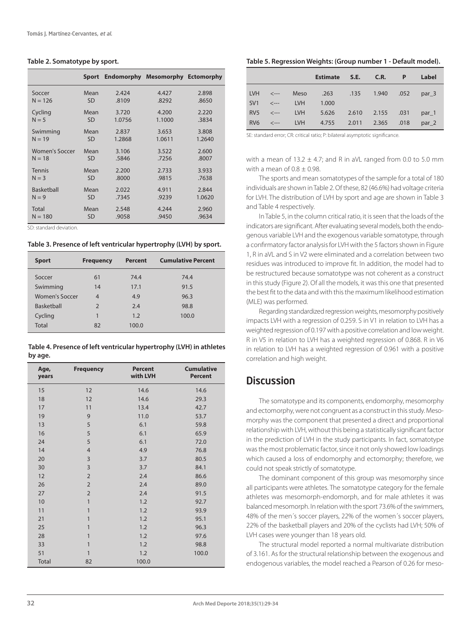#### **Table 2. Somatotype by sport.**

|                   |           | Sport Endomorphy | <b>Mesomorphy Ectomorphy</b> |        |
|-------------------|-----------|------------------|------------------------------|--------|
| Soccer            | Mean      | 2.424            | 4.427                        | 2.898  |
| $N = 126$         | <b>SD</b> | .8109            | .8292                        | .8650  |
| Cycling           | Mean      | 3.720            | 4.200                        | 2.220  |
| $N = 5$           | <b>SD</b> | 1.0756           | 1.1000                       | .3834  |
| Swimming          | Mean      | 2.837            | 3.653                        | 3.808  |
| $N = 19$          | <b>SD</b> | 1.2868           | 1.0611                       | 1.2640 |
| Women's Soccer    | Mean      | 3.106            | 3.522                        | 2.600  |
| $N = 18$          | <b>SD</b> | .5846            | .7256                        | .8007  |
| <b>Tennis</b>     | Mean      | 2.200            | 2.733                        | 3.933  |
| $N = 3$           | <b>SD</b> | .8000            | .9815                        | .7638  |
| <b>Basketball</b> | Mean      | 2.022            | 4.911                        | 2.844  |
| $N = 9$           | <b>SD</b> | .7345            | .9239                        | 1.0620 |
| Total             | Mean      | 2.548            | 4.244                        | 2.960  |
| $N = 180$         | <b>SD</b> | .9058            | .9450                        | .9634  |

SD: standard deviation.

**Table 3. Presence of left ventricular hypertrophy (LVH) by sport.**

| <b>Sport</b>      | <b>Frequency</b> | <b>Percent</b> | <b>Cumulative Percent</b> |
|-------------------|------------------|----------------|---------------------------|
| Soccer            | 61               | 74.4           | 74.4                      |
| Swimming          | 14               | 17.1           | 91.5                      |
| Women's Soccer    | $\overline{4}$   | 4.9            | 96.3                      |
| <b>Basketball</b> | $\mathcal{P}$    | 2.4            | 98.8                      |
| Cycling           | 1                | 1.2            | 100.0                     |
| <b>Total</b>      | 82               | 100.0          |                           |

**Table 4. Presence of left ventricular hypertrophy (LVH) in athletes by age.**

| Age,<br>years | <b>Frequency</b>        | <b>Percent</b><br>with LVH | <b>Cumulative</b><br><b>Percent</b> |
|---------------|-------------------------|----------------------------|-------------------------------------|
| 15            | 12                      | 14.6                       | 14.6                                |
| 18            | 12                      | 14.6                       | 29.3                                |
| 17            | 11                      | 13.4                       | 42.7                                |
| 19            | 9                       | 11.0                       | 53.7                                |
| 13            | 5                       | 6.1                        | 59.8                                |
| 16            | 5                       | 6.1                        | 65.9                                |
| 24            | 5                       | 6.1                        | 72.0                                |
| 14            | $\overline{4}$          | 4.9                        | 76.8                                |
| 20            | 3                       | 3.7                        | 80.5                                |
| 30            | $\overline{\mathbf{3}}$ | 3.7                        | 84.1                                |
| 12            | $\overline{2}$          | 2.4                        | 86.6                                |
| 26            | $\overline{2}$          | 2.4                        | 89.0                                |
| 27            | $\overline{2}$          | 2.4                        | 91.5                                |
| 10            | $\mathbf{1}$            | 1.2                        | 92.7                                |
| 11            | $\mathbf{1}$            | 1.2                        | 93.9                                |
| 21            | $\mathbf{1}$            | 1.2                        | 95.1                                |
| 25            | $\mathbf{1}$            | 1.2                        | 96.3                                |
| 28            | $\mathbf{1}$            | 1.2                        | 97.6                                |
| 33            | $\mathbf{1}$            | 1.2                        | 98.8                                |
| 51            | $\mathbf{1}$            | 1.2                        | 100.0                               |
| Total         | 82                      | 100.0                      |                                     |

**Table 5. Regression Weights: (Group number 1 - Default model).**

|                 |                                                                                                          |            | Estimate S.E. C.R.   |                  | $\mathsf{P}$ | Label |
|-----------------|----------------------------------------------------------------------------------------------------------|------------|----------------------|------------------|--------------|-------|
| <b>LVH</b>      | $\left\langle \cdot \right\rangle$ $\left\langle \cdot \right\rangle$ $\left\langle \cdot \right\rangle$ | Meso       | .263 .135 1.940 .052 |                  |              | par 3 |
| SV <sub>1</sub> | $\leftarrow$ $\leftarrow$                                                                                | <b>LVH</b> | 1.000                |                  |              |       |
| RV <sub>5</sub> | $\leftarrow$ $\leftarrow$                                                                                | <b>LVH</b> | 5.626                | 2.610 2.155 .031 |              | par 1 |
| RV <sub>6</sub> | $\langle$ ---                                                                                            | <b>LVH</b> | 4.755                | 2.011 2.365 .018 |              | par 2 |

SE: standard error; CR: critical ratio; P: bilateral asymptotic significance.

with a mean of  $13.2 \pm 4.7$ ; and R in aVL ranged from 0.0 to 5.0 mm with a mean of  $0.8 \pm 0.98$ .

The sports and mean somatotypes of the sample for a total of 180 individuals are shown in Table 2. Of these, 82 (46.6%) had voltage criteria for LVH. The distribution of LVH by sport and age are shown in Table 3 and Table 4 respectively.

In Table 5, in the column critical ratio, it is seen that the loads of the indicators are significant. After evaluating several models, both the endogenous variable LVH and the exogenous variable somatotype, through a confirmatory factor analysis for LVH with the 5 factors shown in Figure 1, R in aVL and S in V2 were eliminated and a correlation between two residues was introduced to improve fit. In addition, the model had to be restructured because somatotype was not coherent as a construct in this study (Figure 2). Of all the models, it was this one that presented the best fit to the data and with this the maximum likelihood estimation (MLE) was performed.

Regarding standardized regression weights, mesomorphy positively impacts LVH with a regression of 0.259. S in V1 in relation to LVH has a weighted regression of 0.197 with a positive correlation and low weight. R in V5 in relation to LVH has a weighted regression of 0.868. R in V6 in relation to LVH has a weighted regression of 0.961 with a positive correlation and high weight.

### **Discussion**

The somatotype and its components, endomorphy, mesomorphy and ectomorphy, were not congruent as a construct in this study. Mesomorphy was the component that presented a direct and proportional relationship with LVH, without this being a statistically significant factor in the prediction of LVH in the study participants. In fact, somatotype was the most problematic factor, since it not only showed low loadings which caused a loss of endomorphy and ectomorphy; therefore, we could not speak strictly of somatotype.

The dominant component of this group was mesomorphy since all participants were athletes. The somatotype category for the female athletes was mesomorph-endomorph, and for male athletes it was balanced mesomorph. In relation with the sport 73.6% of the swimmers, 48% of the men´s soccer players, 22% of the women´s soccer players, 22% of the basketball players and 20% of the cyclists had LVH; 50% of LVH cases were younger than 18 years old.

The structural model reported a normal multivariate distribution of 3.161. As for the structural relationship between the exogenous and endogenous variables, the model reached a Pearson of 0.26 for meso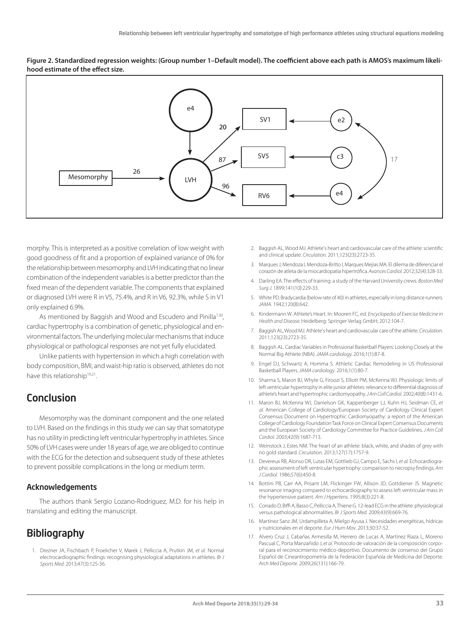**Figure 2. Standardized regression weights: (Group number 1–Default model). The coefficient above each path is AMOS's maximum likelihood estimate of the effect size.**



morphy. This is interpreted as a positive correlation of low weight with good goodness of fit and a proportion of explained variance of 0% for the relationship between mesomorphy and LVH indicating that no linear combination of the independent variables is a better predictor than the fixed mean of the dependent variable. The components that explained or diagnosed LVH were R in V5, 75.4%, and R in V6, 92.3%, while S in V1 only explained 6.9%.

As mentioned by Baggish and Wood and Escudero and Pinilla<sup>7,30</sup>, cardiac hypertrophy is a combination of genetic, physiological and environmental factors. The underlying molecular mechanisms that induce physiological or pathological responses are not yet fully elucidated.

Unlike patients with hypertension in which a high correlation with body composition, BMI, and waist-hip ratio is observed, athletes do not have this relationship<sup>19,21</sup>.

# Conclusion

Mesomorphy was the dominant component and the one related to LVH. Based on the findings in this study we can say that somatotype has no utility in predicting left ventricular hypertrophy in athletes. Since 50% of LVH cases were under 18 years of age, we are obliged to continue with the ECG for the detection and subsequent study of these athletes to prevent possible complications in the long or medium term.

#### Acknowledgements

The authors thank Sergio Lozano-Rodriguez, M.D. for his help in translating and editing the manuscript.

# **Bibliography**

1. Drezner JA, Fischbach P, Froelicher V, Marek J, Pelliccia A, Prutkin JM, *et al.* Normal electrocardiographic findings: recognising physiological adaptations in athletes. *Br J Sports Med.* 2013;47(3):125-36.

- 2. Baggish AL, Wood MJ. Athlete's heart and cardiovascular care of the athlete: scientific and clinical update. *Circulation.* 2011;123(23):2723-35.
- 3. Marques J, Mendoza I, Mendoza-Britto I, Marques Mejias MA. El dilema de diferenciar el corazón de atleta de la miocardiopatía hipertrófica. *Avances Cardiol.* 2012;32(4):328-33.
- 4. Darling EA. The effects of training: a study of the Harvard University crews. *Boston Med Surg J.* 1899;141(10):229-33.
- 5. White PD. Bradycardia (below rate of 40) in athletes, especially in long distance runners. *JAMA.* 1942;120(8):642.
- 6. Kindermann W. Athlete's Heart. In: Mooren FC, ed. *Encyclopedia of Exercise Medicine in Health and Disease.* Heidelberg: Springer Verlag GmbH; 2012:104-7.
- 7. Baggish AL, Wood MJ. Athlete's heart and cardiovascular care of the athlete. *Circulation.* 2011;123(23):2723-35.
- 8. Baggish AL. Cardiac Variables in Professional Basketball Players: Looking Closely at the Normal Big Athlete (NBA). *JAMA cardiology.* 2016;1(1):87-8.
- 9. Engel DJ, Schwartz A, Homma S. Athletic Cardiac Remodeling in US Professional Basketball Players. *JAMA cardiology*. 2016;1(1):80-7.
- 10. Sharma S, Maron BJ, Whyte G, Firoozi S, Elliott PM, McKenna WJ. Physiologic limits of left ventricular hypertrophy in elite junior athletes: relevance to differential diagnosis of athlete's heart and hypertrophic cardiomyopathy. *J Am Coll Cardiol.* 2002;40(8):1431-6.
- 11. Maron BJ, McKenna WJ, Danielson GK, Kappenberger LJ, Kuhn HJ, Seidman CE, *et al.* American College of Cardiology/European Society of Cardiology Clinical Expert Consensus Document on Hypertrophic Cardiomyopathy: a report of the American College of Cardiology Foundation Task Force on Clinical Expert Consensus Documents and the European Society of Cardiology Committee for Practice Guidelines. *J Am Coll Cardiol.* 2003;42(9):1687-713.
- 12. Weinstock J, Estes NM. The heart of an athlete: black, white, and shades of grey with no gold standard. *Circulation.* 2013;127(17):1757-9.
- 13. Devereux RB, Alonso DR, Lutas EM, Gottlieb GJ, Campo E, Sachs I, *et al.* Echocardiographic assessment of left ventricular hypertrophy: comparison to necropsy findings. *Am J Cardiol.* 1986;57(6):450-8.
- 14. Bottini PB, Carr AA, Prisant LM, Flickinger FW, Allison JD, Gottdiener JS. Magnetic resonance imaging compared to echocardiography to assess left ventricular mass in the hypertensive patient. *Am J Hypertens.* 1995;8(3):221-8.
- 15. Corrado D, Biffi A, Basso C, Pelliccia A, Thiene G. 12-lead ECG in the athlete: physiological versus pathological abnormalities. *Br J Sports Med.* 2009;43(9):669-76.
- 16. Martínez Sanz JM, Urdampilleta A, Mielgo Ayusa J. Necesidades energéticas, hídricas y nutricionales en el deporte. *Eur J Hum Mov*. 2013;30:37-52.
- 17. Alvero Cruz J, Cabañas Armesilla M, Herrero de Lucas A, Martínez Riaza L, Moreno Pascual C, Porta Manzañido J, *et al.* Protocolo de valoración de la composición corporal para el reconocimiento médico-deportivo. Documento de consenso del Grupo Español de Cineantropometría de la Federación Española de Medicina del Deporte. *Arch Med Deporte.* 2009;26(131):166-79.